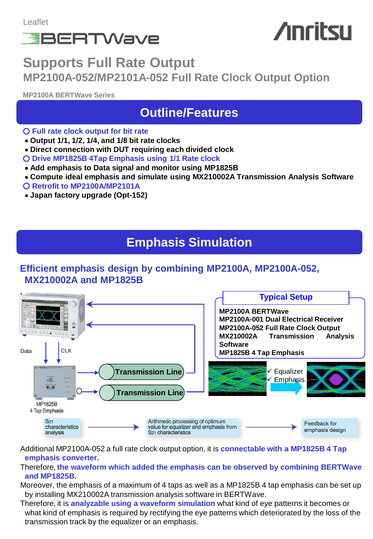

# **Anritsu**

## **Supports Full Rate Output MP2100A-052/MP2101A-052 Full Rate Clock Output Option**

**MP2100A BERTWave Series**

## **Outline/Features**

- **Full rate clock output for bit rate**
- **Output 1/1, 1/2, 1/4, and 1/8 bit rate clocks**
- **Direct connection with DUT requiring each divided clock**
- **Drive MP1825B 4Tap Emphasis using 1/1 Rate clock**
- **Add emphasis to Data signal and monitor using MP1825B**
- **Compute ideal emphasis and simulate using MX210002A Transmission Analysis Software**
- **Retrofit to MP2100A/MP2101A**
- **Japan factory upgrade (Opt-152)**

## **Emphasis Simulation**

### **Efficient emphasis design by combining MP2100A, MP2100A-052, MX210002A and MP1825B**



Additional MP2100A-052 a full rate clock output option, it is **connectable with a MP1825B 4 Tap emphasis converter.**

#### Therefore, **the waveform which added the emphasis can be observed by combining BERTWave and MP1825B.**

Moreover, the emphasis of a maximum of 4 taps as well as a MP1825B 4 tap emphasis can be set up by installing MX210002A transmission analysis software in BERTWave.

Therefore, it is **analyzable using a waveform simulation** what kind of eye patterns it becomes or what kind of emphasis is required by rectifying the eye patterns which deteriorated by the loss of the transmission track by the equalizer or an emphasis.